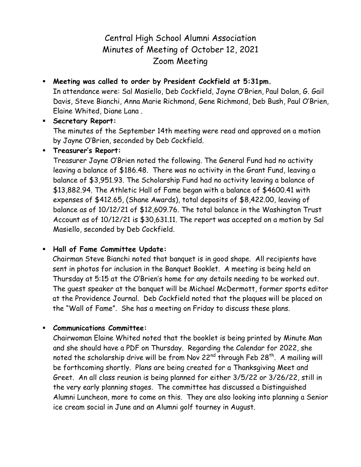# Central High School Alumni Association Minutes of Meeting of October 12, 2021 Zoom Meeting

 **Meeting was called to order by President Cockfield at 5:31pm.** In attendance were: Sal Masiello, Deb Cockfield, Jayne O'Brien, Paul Dolan, G. Gail Davis, Steve Bianchi, Anna Marie Richmond, Gene Richmond, Deb Bush, Paul O'Brien, Elaine Whited, Diane Lana .

#### **Secretary Report:**

The minutes of the September 14th meeting were read and approved on a motion by Jayne O'Brien, seconded by Deb Cockfield.

#### **Treasurer's Report:**

Treasurer Jayne O'Brien noted the following. The General Fund had no activity leaving a balance of \$186.48. There was no activity in the Grant Fund, leaving a balance of \$3,951.93. The Scholarship Fund had no activity leaving a balance of \$13,882.94. The Athletic Hall of Fame began with a balance of \$4600.41 with expenses of \$412.65, (Shane Awards), total deposits of \$8,422.00, leaving of balance as of 10/12/21 of \$12,609.76. The total balance in the Washington Trust Account as of 10/12/21 is \$30,631.11. The report was accepted on a motion by Sal Masiello, seconded by Deb Cockfield.

#### **Hall of Fame Committee Update:**

Chairman Steve Bianchi noted that banquet is in good shape. All recipients have sent in photos for inclusion in the Banquet Booklet. A meeting is being held on Thursday at 5:15 at the O'Brien's home for any details needing to be worked out. The guest speaker at the banquet will be Michael McDermott, former sports editor at the Providence Journal. Deb Cockfield noted that the plaques will be placed on the "Wall of Fame". She has a meeting on Friday to discuss these plans.

#### **Communications Committee:**

Chairwoman Elaine Whited noted that the booklet is being printed by Minute Man and she should have a PDF on Thursday. Regarding the Calendar for 2022, she noted the scholarship drive will be from Nov 22<sup>nd</sup> through Feb 28<sup>th</sup>. A mailing will be forthcoming shortly. Plans are being created for a Thanksgiving Meet and Greet. An all class reunion is being planned for either 3/5/22 or 3/26/22, still in the very early planning stages. The committee has discussed a Distinguished Alumni Luncheon, more to come on this. They are also looking into planning a Senior ice cream social in June and an Alumni golf tourney in August.